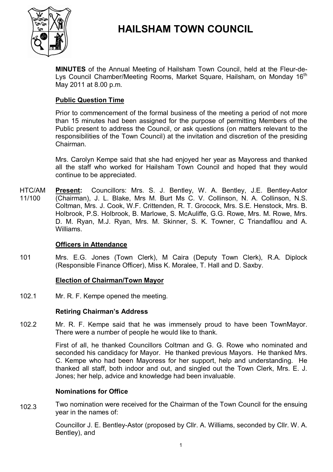

# **HAILSHAM TOWN COUNCIL**

**MINUTES** of the Annual Meeting of Hailsham Town Council, held at the Fleur-de-Lys Council Chamber/Meeting Rooms, Market Square, Hailsham, on Monday 16<sup>th</sup> May 2011 at 8.00 p.m.

# **Public Question Time**

Prior to commencement of the formal business of the meeting a period of not more than 15 minutes had been assigned for the purpose of permitting Members of the Public present to address the Council, or ask questions (on matters relevant to the responsibilities of the Town Council) at the invitation and discretion of the presiding Chairman.

Mrs. Carolyn Kempe said that she had enjoyed her year as Mayoress and thanked all the staff who worked for Hailsham Town Council and hoped that they would continue to be appreciated.

HTC/AM 11/100 **Present:** Councillors: Mrs. S. J. Bentley, W. A. Bentley, J.E. Bentley-Astor (Chairman), J. L. Blake, Mrs M. Burt Ms C. V. Collinson, N. A. Collinson, N.S. Coltman, Mrs. J. Cook, W.F. Crittenden, R. T. Grocock, Mrs. S.E. Henstock, Mrs. B. Holbrook, P.S. Holbrook, B. Marlowe, S. McAuliffe, G.G. Rowe, Mrs. M. Rowe, Mrs. D. M. Ryan, M.J. Ryan, Mrs. M. Skinner, S. K. Towner, C Triandafllou and A. Williams.

# **Officers in Attendance**

101 Mrs. E.G. Jones (Town Clerk), M Caira (Deputy Town Clerk), R.A. Diplock (Responsible Finance Officer), Miss K. Moralee, T. Hall and D. Saxby.

#### **Election of Chairman/Town Mayor**

102.1 Mr. R. F. Kempe opened the meeting.

# **Retiring Chairman's Address**

102.2 Mr. R. F. Kempe said that he was immensely proud to have been TownMayor. There were a number of people he would like to thank.

> First of all, he thanked Councillors Coltman and G. G. Rowe who nominated and seconded his candidacy for Mayor. He thanked previous Mayors. He thanked Mrs. C. Kempe who had been Mayoress for her support, help and understanding. He thanked all staff, both indoor and out, and singled out the Town Clerk, Mrs. E. J. Jones; her help, advice and knowledge had been invaluable.

#### **Nominations for Office**

102.3 Two nomination were received for the Chairman of the Town Council for the ensuing year in the names of:

> Councillor J. E. Bentley-Astor (proposed by Cllr. A. Williams, seconded by Cllr. W. A. Bentley), and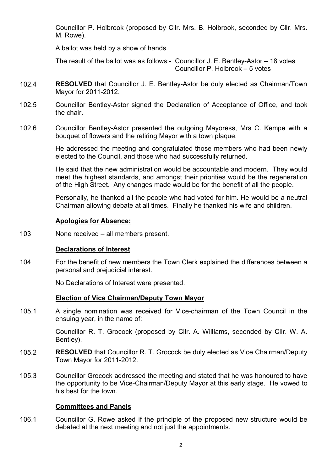Councillor P. Holbrook (proposed by Cllr. Mrs. B. Holbrook, seconded by Cllr. Mrs. M. Rowe).

A ballot was held by a show of hands.

The result of the ballot was as follows:- Councillor J. E. Bentley-Astor – 18 votes Councillor P. Holbrook – 5 votes

- 102.4 **RESOLVED** that Councillor J. E. Bentley-Astor be duly elected as Chairman/Town Mayor for 2011-2012.
- 102.5 Councillor Bentley-Astor signed the Declaration of Acceptance of Office, and took the chair.
- 102.6 Councillor Bentley-Astor presented the outgoing Mayoress, Mrs C. Kempe with a bouquet of flowers and the retiring Mayor with a town plaque.

He addressed the meeting and congratulated those members who had been newly elected to the Council, and those who had successfully returned.

He said that the new administration would be accountable and modern. They would meet the highest standards, and amongst their priorities would be the regeneration of the High Street. Any changes made would be for the benefit of all the people.

Personally, he thanked all the people who had voted for him. He would be a neutral Chairman allowing debate at all times. Finally he thanked his wife and children.

### **Apologies for Absence:**

103 None received – all members present.

# **Declarations of Interest**

104 For the benefit of new members the Town Clerk explained the differences between a personal and prejudicial interest.

No Declarations of Interest were presented.

#### **Election of Vice Chairman/Deputy Town Mayor**

105.1 A single nomination was received for Vice-chairman of the Town Council in the ensuing year, in the name of:

> Councillor R. T. Grocock (proposed by Cllr. A. Williams, seconded by Cllr. W. A. Bentley).

- 105.2 **RESOLVED** that Councillor R. T. Grocock be duly elected as Vice Chairman/Deputy Town Mayor for 2011-2012.
- 105.3 Councillor Grocock addressed the meeting and stated that he was honoured to have the opportunity to be Vice-Chairman/Deputy Mayor at this early stage. He vowed to his best for the town.

#### **Committees and Panels**

106.1 Councillor G. Rowe asked if the principle of the proposed new structure would be debated at the next meeting and not just the appointments.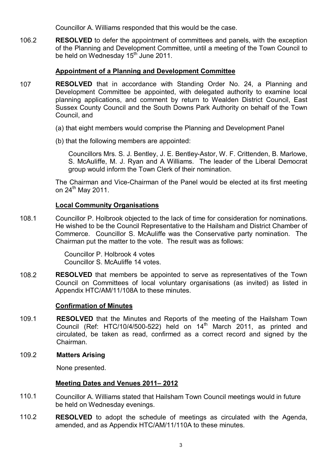Councillor A. Williams responded that this would be the case.

106.2 **RESOLVED** to defer the appointment of committees and panels, with the exception of the Planning and Development Committee, until a meeting of the Town Council to be held on Wednesday 15<sup>th</sup> June 2011.

# **Appointment of a Planning and Development Committee**

- 107 **RESOLVED** that in accordance with Standing Order No. 24, a Planning and Development Committee be appointed, with delegated authority to examine local planning applications, and comment by return to Wealden District Council, East Sussex County Council and the South Downs Park Authority on behalf of the Town Council, and
	- (a) that eight members would comprise the Planning and Development Panel
	- (b) that the following members are appointed:

Councillors Mrs. S. J. Bentley, J. E. Bentley-Astor, W. F. Crittenden, B. Marlowe, S. McAuliffe, M. J. Ryan and A Williams. The leader of the Liberal Democrat group would inform the Town Clerk of their nomination.

The Chairman and Vice-Chairman of the Panel would be elected at its first meeting on  $24^{\text{th}}$  May 2011.

# **Local Community Organisations**

108.1 Councillor P. Holbrook objected to the lack of time for consideration for nominations. He wished to be the Council Representative to the Hailsham and District Chamber of Commerce. Councillor S. McAuliffe was the Conservative party nomination. The Chairman put the matter to the vote. The result was as follows:

> Councillor P. Holbrook 4 votes Councillor S. McAuliffe 14 votes.

108.2 **RESOLVED** that members be appointed to serve as representatives of the Town Council on Committees of local voluntary organisations (as invited) as listed in Appendix HTC/AM/11/108A to these minutes.

#### **Confirmation of Minutes**

109.1 **RESOLVED** that the Minutes and Reports of the meeting of the Hailsham Town Council (Ref: HTC/10/4/500-522) held on  $14<sup>th</sup>$  March 2011, as printed and circulated, be taken as read, confirmed as a correct record and signed by the Chairman.

#### 109.2 **Matters Arising**

None presented.

# **Meeting Dates and Venues 2011– 2012**

- 110.1 Councillor A. Williams stated that Hailsham Town Council meetings would in future be held on Wednesday evenings.
- 110.2 **RESOLVED** to adopt the schedule of meetings as circulated with the Agenda, amended, and as Appendix HTC/AM/11/110A to these minutes.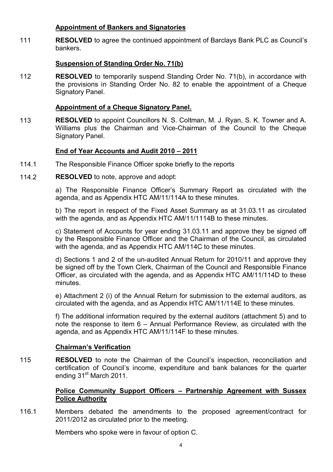# **Appointment of Bankers and Signatories**

111 **RESOLVED** to agree the continued appointment of Barclays Bank PLC as Council's bankers.

# **Suspension of Standing Order No. 71(b)**

112 **RESOLVED** to temporarily suspend Standing Order No. 71(b), in accordance with the provisions in Standing Order No. 82 to enable the appointment of a Cheque Signatory Panel.

# **Appointment of a Cheque Signatory Panel.**

113 **RESOLVED** to appoint Councillors N. S. Coltman, M. J. Ryan, S. K. Towner and A. Williams plus the Chairman and Vice-Chairman of the Council to the Cheque Signatory Panel.

# **End of Year Accounts and Audit 2010 – 2011**

- 114.1 The Responsible Finance Officer spoke briefly to the reports
- 114.2 **RESOLVED** to note, approve and adopt:

a) The Responsible Finance Officer's Summary Report as circulated with the agenda, and as Appendix HTC AM/11/114A to these minutes.

b) The report in respect of the Fixed Asset Summary as at 31.03.11 as circulated with the agenda, and as Appendix HTC AM/11/1114B to these minutes.

c) Statement of Accounts for year ending 31.03.11 and approve they be signed off by the Responsible Finance Officer and the Chairman of the Council, as circulated with the agenda, and as Appendix HTC AM/114C to these minutes.

d) Sections 1 and 2 of the un-audited Annual Return for 2010/11 and approve they be signed off by the Town Clerk, Chairman of the Council and Responsible Finance Officer, as circulated with the agenda, and as Appendix HTC AM/11/114D to these minutes.

e) Attachment 2 (i) of the Annual Return for submission to the external auditors, as circulated with the agenda, and as Appendix HTC AM/11/114E to these minutes.

f) The additional information required by the external auditors (attachment 5) and to note the response to item 6 – Annual Performance Review, as circulated with the agenda, and as Appendix HTC AM/11/114F to these minutes.

# **Chairman's Verification**

115 **RESOLVED** to note the Chairman of the Council's inspection, reconciliation and certification of Council's income, expenditure and bank balances for the quarter ending 31<sup>st</sup> March 2011.

# **Police Community Support Officers – Partnership Agreement with Sussex Police Authority**

116.1 Members debated the amendments to the proposed agreement/contract for 2011/2012 as circulated prior to the meeting.

Members who spoke were in favour of option C.